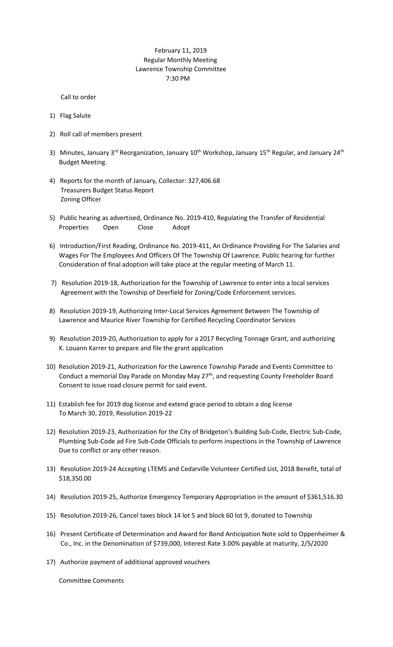## February 11, 2019 Regular Monthly Meeting Lawrence Township Committee 7:30 PM

Call to order

- 1) Flag Salute
- 2) Roll call of members present
- 3) Minutes, January 3<sup>rd</sup> Reorganization, January 10<sup>th</sup> Workshop, January 15<sup>th</sup> Regular, and January 24<sup>th</sup> Budget Meeting.
- 4) Reports for the month of January, Collector: 327,406.68 Treasurers Budget Status Report Zoning Officer
- 5) Public hearing as advertised, Ordinance No. 2019-410, Regulating the Transfer of Residential Properties Open Close Adopt
- 6) Introduction/First Reading, Ordinance No. 2019-411, An Ordinance Providing For The Salaries and Wages For The Employees And Officers Of The Township Of Lawrence. Public hearing for further Consideration of final adoption will take place at the regular meeting of March 11.
- 7) Resolution 2019-18, Authorization for the Township of Lawrence to enter into a local services Agreement with the Township of Deerfield for Zoning/Code Enforcement services.
- 8) Resolution 2019-19, Authorizing Inter-Local Services Agreement Between The Township of Lawrence and Maurice River Township for Certified Recycling Coordinator Services
- 9) Resolution 2019-20, Authorization to apply for a 2017 Recycling Tonnage Grant, and authorizing K. Louann Karrer to prepare and file the grant application
- 10) Resolution 2019-21, Authorization for the Lawrence Township Parade and Events Committee to Conduct a memorial Day Parade on Monday May 27<sup>th</sup>, and requesting County Freeholder Board Consent to issue road closure permit for said event.
- 11) Establish fee for 2019 dog license and extend grace period to obtain a dog license To March 30, 2019, Resolution 2019-22
- 12) Resolution 2019-23, Authorization for the City of Bridgeton's Building Sub-Code, Electric Sub-Code, Plumbing Sub-Code ad Fire Sub-Code Officials to perform inspections in the Township of Lawrence Due to conflict or any other reason.
- 13) Resolution 2019-24 Accepting LTEMS and Cedarville Volunteer Certified List, 2018 Benefit, total of \$18,350.00
- 14) Resolution 2019-25, Authorize Emergency Temporary Appropriation in the amount of \$361,516.30
- 15) Resolution 2019-26, Cancel taxes block 14 lot 5 and block 60 lot 9, donated to Township
- 16) Present Certificate of Determination and Award for Bond Anticipation Note sold to Oppenheimer & Co., Inc. in the Denomination of \$739,000, Interest Rate 3.00% payable at maturity, 2/5/2020
- 17) Authorize payment of additional approved vouchers

Committee Comments